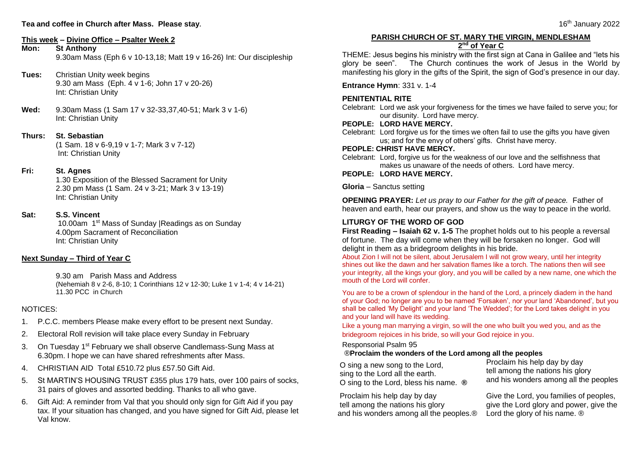# **This week – Divine Office – Psalter Week 2**

## **St Anthony**

9.30am Mass (Eph 6 v 10-13,18; Matt 19 v 16-26) Int: Our discipleship

- **Tues:** Christian Unity week begins 9.30 am Mass (Eph. 4 v 1-6; John 17 v 20-26) Int: Christian Unity
- **Wed:** 9.30am Mass (1 Sam 17 v 32-33,37,40-51; Mark 3 v 1-6) Int: Christian Unity
- **Thurs: St. Sebastian** (1 Sam. 18 v 6-9,19 v 1-7; Mark 3 v 7-12) Int: Christian Unity

## **Fri: St. Agnes**

1.30 Exposition of the Blessed Sacrament for Unity 2.30 pm Mass (1 Sam. 24 v 3-21; Mark 3 v 13-19) Int: Christian Unity

## **Sat: S.S. Vincent**

10.00am 1st Mass of Sunday |Readings as on Sunday 4.00pm Sacrament of Reconciliation Int: Christian Unity

# **Next Sunday – Third of Year C**

9.30 am Parish Mass and Address (Nehemiah 8 v 2-6, 8-10; 1 Corinthians 12 v 12-30; Luke 1 v 1-4; 4 v 14-21) 11.30 PCC in Church

# NOTICES:

- 1. P.C.C. members Please make every effort to be present next Sunday.
- 2. Electoral Roll revision will take place every Sunday in February
- 3. On Tuesday 1<sup>st</sup> February we shall observe Candlemass-Sung Mass at 6.30pm. I hope we can have shared refreshments after Mass.
- 4. CHRISTIAN AID Total £510.72 plus £57.50 Gift Aid.
- 5. St MARTIN'S HOUSING TRUST £355 plus 179 hats, over 100 pairs of socks, 31 pairs of gloves and assorted bedding. Thanks to all who gave.
- 6. Gift Aid: A reminder from Val that you should only sign for Gift Aid if you pay tax. If your situation has changed, and you have signed for Gift Aid, please let Val know.

## **PARISH CHURCH OF ST. MARY THE VIRGIN, MENDLESHAM 2 nd of Year C**

THEME: Jesus begins his ministry with the first sign at Cana in Galilee and "lets his glory be seen". The Church continues the work of Jesus in the World by manifesting his glory in the gifts of the Spirit, the sign of God's presence in our day.

**Entrance Hymn**: 331 v. 1-4

# **PENITENTIAL RITE**

Celebrant: Lord we ask your forgiveness for the times we have failed to serve you; for our disunity. Lord have mercy.

#### **PEOPLE: LORD HAVE MERCY.**

Celebrant: Lord forgive us for the times we often fail to use the gifts you have given us; and for the envy of others' gifts. Christ have mercy.

#### **PEOPLE: CHRIST HAVE MERCY.**

Celebrant: Lord, forgive us for the weakness of our love and the selfishness that makes us unaware of the needs of others. Lord have mercy.

#### **PEOPLE: LORD HAVE MERCY.**

**Gloria** – Sanctus setting

**OPENING PRAYER:** *Let us pray to our Father for the gift of peace.* Father of heaven and earth, hear our prayers, and show us the way to peace in the world.

# **LITURGY OF THE WORD OF GOD**

**First Reading – Isaiah 62 v. 1-5** The prophet holds out to his people a reversal of fortune. The day will come when they will be forsaken no longer. God will delight in them as a bridegroom delights in his bride.

About Zion I will not be silent, about Jerusalem I will not grow weary, until her integrity shines out like the dawn and her salvation flames like a torch. The nations then will see your integrity, all the kings your glory, and you will be called by a new name, one which the mouth of the Lord will confer.

You are to be a crown of splendour in the hand of the Lord, a princely diadem in the hand of your God; no longer are you to be named 'Forsaken', nor your land 'Abandoned', but you shall be called 'My Delight' and your land 'The Wedded'; for the Lord takes delight in you and your land will have its wedding.

Like a young man marrying a virgin, so will the one who built you wed you, and as the bridegroom rejoices in his bride, so will your God rejoice in you.

Responsorial Psalm 95

## ®**Proclaim the wonders of the Lord among all the peoples**

 O sing a new song to the Lord, sing to the Lord all the earth. O sing to the Lord, bless his name. **®**

Proclaim his help day by day tell among the nations his glory and his wonders among all the peoples

 Proclaim his help day by day tell among the nations his glory and his wonders among all the peoples.®

Give the Lord, you families of peoples, give the Lord glory and power, give the Lord the glory of his name.  $\circledR$